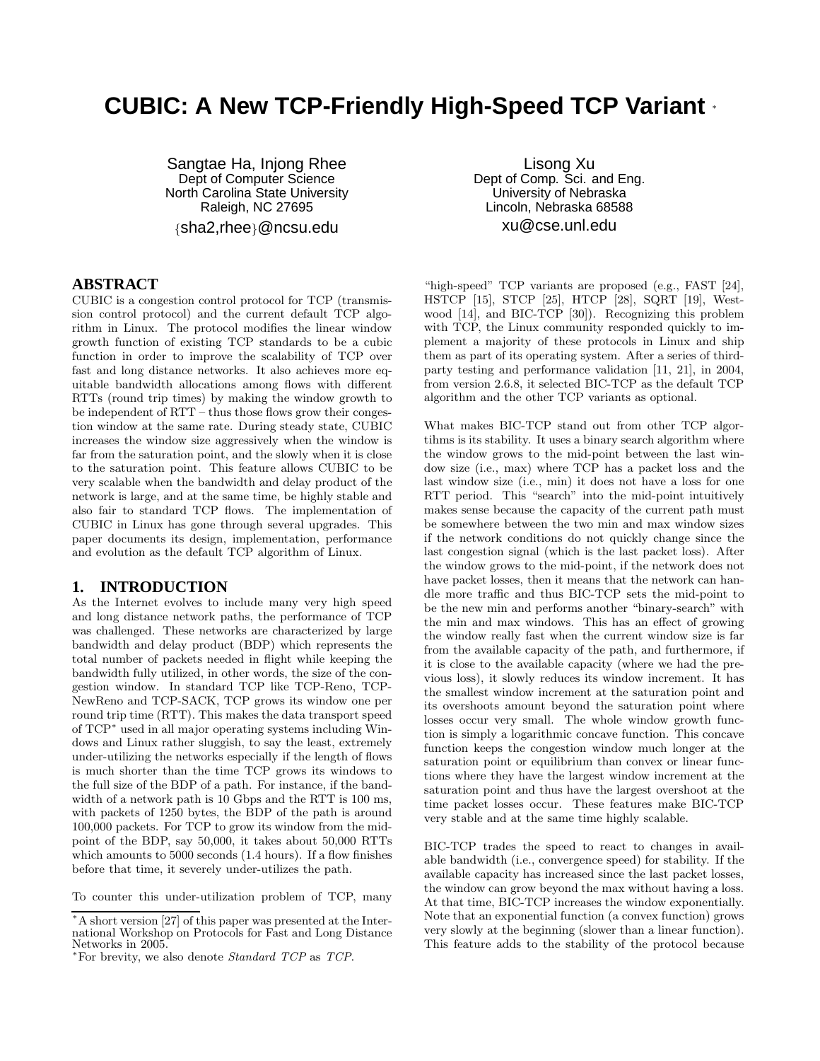# **CUBIC: A New TCP-Friendly High-Speed TCP Variant** <sup>∗</sup>

Sangtae Ha, Injong Rhee Dept of Computer Science North Carolina State University Raleigh, NC 27695 {sha2,rhee}@ncsu.edu

#### **ABSTRACT**

CUBIC is a congestion control protocol for TCP (transmission control protocol) and the current default TCP algorithm in Linux. The protocol modifies the linear window growth function of existing TCP standards to be a cubic function in order to improve the scalability of TCP over fast and long distance networks. It also achieves more equitable bandwidth allocations among flows with different RTTs (round trip times) by making the window growth to be independent of RTT – thus those flows grow their congestion window at the same rate. During steady state, CUBIC increases the window size aggressively when the window is far from the saturation point, and the slowly when it is close to the saturation point. This feature allows CUBIC to be very scalable when the bandwidth and delay product of the network is large, and at the same time, be highly stable and also fair to standard TCP flows. The implementation of CUBIC in Linux has gone through several upgrades. This paper documents its design, implementation, performance and evolution as the default TCP algorithm of Linux.

#### **1. INTRODUCTION**

As the Internet evolves to include many very high speed and long distance network paths, the performance of TCP was challenged. These networks are characterized by large bandwidth and delay product (BDP) which represents the total number of packets needed in flight while keeping the bandwidth fully utilized, in other words, the size of the congestion window. In standard TCP like TCP-Reno, TCP-NewReno and TCP-SACK, TCP grows its window one per round trip time (RTT). This makes the data transport speed of TCP<sup>∗</sup> used in all major operating systems including Windows and Linux rather sluggish, to say the least, extremely under-utilizing the networks especially if the length of flows is much shorter than the time TCP grows its windows to the full size of the BDP of a path. For instance, if the bandwidth of a network path is 10 Gbps and the RTT is 100 ms, with packets of 1250 bytes, the BDP of the path is around 100,000 packets. For TCP to grow its window from the midpoint of the BDP, say 50,000, it takes about 50,000 RTTs which amounts to 5000 seconds (1.4 hours). If a flow finishes before that time, it severely under-utilizes the path.

To counter this under-utilization problem of TCP, many

Lisong Xu Dept of Comp. Sci. and Eng. University of Nebraska Lincoln, Nebraska 68588 xu@cse.unl.edu

"high-speed" TCP variants are proposed (e.g., FAST [24], HSTCP [15], STCP [25], HTCP [28], SQRT [19], Westwood [14], and BIC-TCP [30]). Recognizing this problem with TCP, the Linux community responded quickly to implement a majority of these protocols in Linux and ship them as part of its operating system. After a series of thirdparty testing and performance validation [11, 21], in 2004, from version 2.6.8, it selected BIC-TCP as the default TCP algorithm and the other TCP variants as optional.

What makes BIC-TCP stand out from other TCP algortihms is its stability. It uses a binary search algorithm where the window grows to the mid-point between the last window size (i.e., max) where TCP has a packet loss and the last window size (i.e., min) it does not have a loss for one RTT period. This "search" into the mid-point intuitively makes sense because the capacity of the current path must be somewhere between the two min and max window sizes if the network conditions do not quickly change since the last congestion signal (which is the last packet loss). After the window grows to the mid-point, if the network does not have packet losses, then it means that the network can handle more traffic and thus BIC-TCP sets the mid-point to be the new min and performs another "binary-search" with the min and max windows. This has an effect of growing the window really fast when the current window size is far from the available capacity of the path, and furthermore, if it is close to the available capacity (where we had the previous loss), it slowly reduces its window increment. It has the smallest window increment at the saturation point and its overshoots amount beyond the saturation point where losses occur very small. The whole window growth function is simply a logarithmic concave function. This concave function keeps the congestion window much longer at the saturation point or equilibrium than convex or linear functions where they have the largest window increment at the saturation point and thus have the largest overshoot at the time packet losses occur. These features make BIC-TCP very stable and at the same time highly scalable.

BIC-TCP trades the speed to react to changes in available bandwidth (i.e., convergence speed) for stability. If the available capacity has increased since the last packet losses, the window can grow beyond the max without having a loss. At that time, BIC-TCP increases the window exponentially. Note that an exponential function (a convex function) grows very slowly at the beginning (slower than a linear function). This feature adds to the stability of the protocol because

<sup>∗</sup>A short version [27] of this paper was presented at the International Workshop on Protocols for Fast and Long Distance Networks in 2005.

<sup>∗</sup>For brevity, we also denote Standard TCP as TCP.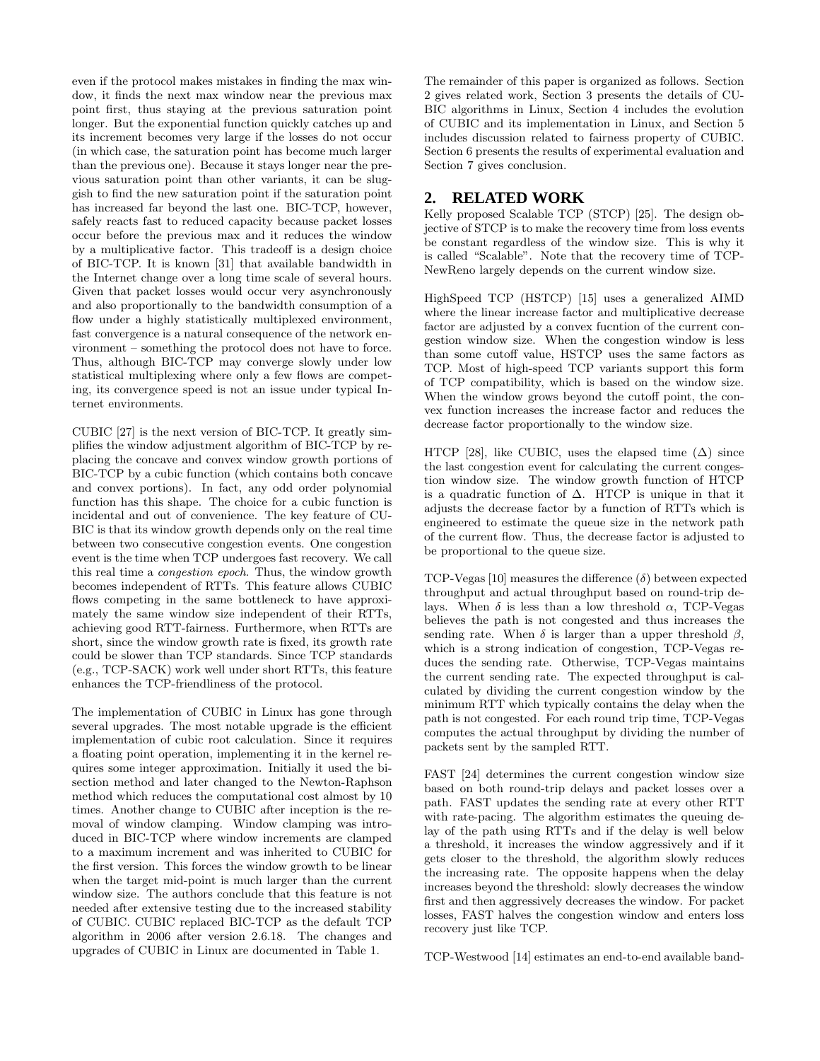even if the protocol makes mistakes in finding the max window, it finds the next max window near the previous max point first, thus staying at the previous saturation point longer. But the exponential function quickly catches up and its increment becomes very large if the losses do not occur (in which case, the saturation point has become much larger than the previous one). Because it stays longer near the previous saturation point than other variants, it can be sluggish to find the new saturation point if the saturation point has increased far beyond the last one. BIC-TCP, however, safely reacts fast to reduced capacity because packet losses occur before the previous max and it reduces the window by a multiplicative factor. This tradeoff is a design choice of BIC-TCP. It is known [31] that available bandwidth in the Internet change over a long time scale of several hours. Given that packet losses would occur very asynchronously and also proportionally to the bandwidth consumption of a flow under a highly statistically multiplexed environment, fast convergence is a natural consequence of the network environment – something the protocol does not have to force. Thus, although BIC-TCP may converge slowly under low statistical multiplexing where only a few flows are competing, its convergence speed is not an issue under typical Internet environments.

CUBIC [27] is the next version of BIC-TCP. It greatly simplifies the window adjustment algorithm of BIC-TCP by replacing the concave and convex window growth portions of BIC-TCP by a cubic function (which contains both concave and convex portions). In fact, any odd order polynomial function has this shape. The choice for a cubic function is incidental and out of convenience. The key feature of CU-BIC is that its window growth depends only on the real time between two consecutive congestion events. One congestion event is the time when TCP undergoes fast recovery. We call this real time a congestion epoch. Thus, the window growth becomes independent of RTTs. This feature allows CUBIC flows competing in the same bottleneck to have approximately the same window size independent of their RTTs, achieving good RTT-fairness. Furthermore, when RTTs are short, since the window growth rate is fixed, its growth rate could be slower than TCP standards. Since TCP standards (e.g., TCP-SACK) work well under short RTTs, this feature enhances the TCP-friendliness of the protocol.

The implementation of CUBIC in Linux has gone through several upgrades. The most notable upgrade is the efficient implementation of cubic root calculation. Since it requires a floating point operation, implementing it in the kernel requires some integer approximation. Initially it used the bisection method and later changed to the Newton-Raphson method which reduces the computational cost almost by 10 times. Another change to CUBIC after inception is the removal of window clamping. Window clamping was introduced in BIC-TCP where window increments are clamped to a maximum increment and was inherited to CUBIC for the first version. This forces the window growth to be linear when the target mid-point is much larger than the current window size. The authors conclude that this feature is not needed after extensive testing due to the increased stability of CUBIC. CUBIC replaced BIC-TCP as the default TCP algorithm in 2006 after version 2.6.18. The changes and upgrades of CUBIC in Linux are documented in Table 1.

The remainder of this paper is organized as follows. Section 2 gives related work, Section 3 presents the details of CU-BIC algorithms in Linux, Section 4 includes the evolution of CUBIC and its implementation in Linux, and Section 5 includes discussion related to fairness property of CUBIC. Section 6 presents the results of experimental evaluation and Section 7 gives conclusion.

# **2. RELATED WORK**

Kelly proposed Scalable TCP (STCP) [25]. The design objective of STCP is to make the recovery time from loss events be constant regardless of the window size. This is why it is called "Scalable". Note that the recovery time of TCP-NewReno largely depends on the current window size.

HighSpeed TCP (HSTCP) [15] uses a generalized AIMD where the linear increase factor and multiplicative decrease factor are adjusted by a convex fucntion of the current congestion window size. When the congestion window is less than some cutoff value, HSTCP uses the same factors as TCP. Most of high-speed TCP variants support this form of TCP compatibility, which is based on the window size. When the window grows beyond the cutoff point, the convex function increases the increase factor and reduces the decrease factor proportionally to the window size.

HTCP [28], like CUBIC, uses the elapsed time  $(\Delta)$  since the last congestion event for calculating the current congestion window size. The window growth function of HTCP is a quadratic function of  $\Delta$ . HTCP is unique in that it adjusts the decrease factor by a function of RTTs which is engineered to estimate the queue size in the network path of the current flow. Thus, the decrease factor is adjusted to be proportional to the queue size.

TCP-Vegas [10] measures the difference  $(\delta)$  between expected throughput and actual throughput based on round-trip delays. When  $\delta$  is less than a low threshold  $\alpha$ , TCP-Vegas believes the path is not congested and thus increases the sending rate. When  $\delta$  is larger than a upper threshold  $\beta$ , which is a strong indication of congestion, TCP-Vegas reduces the sending rate. Otherwise, TCP-Vegas maintains the current sending rate. The expected throughput is calculated by dividing the current congestion window by the minimum RTT which typically contains the delay when the path is not congested. For each round trip time, TCP-Vegas computes the actual throughput by dividing the number of packets sent by the sampled RTT.

FAST [24] determines the current congestion window size based on both round-trip delays and packet losses over a path. FAST updates the sending rate at every other RTT with rate-pacing. The algorithm estimates the queuing delay of the path using RTTs and if the delay is well below a threshold, it increases the window aggressively and if it gets closer to the threshold, the algorithm slowly reduces the increasing rate. The opposite happens when the delay increases beyond the threshold: slowly decreases the window first and then aggressively decreases the window. For packet losses, FAST halves the congestion window and enters loss recovery just like TCP.

TCP-Westwood [14] estimates an end-to-end available band-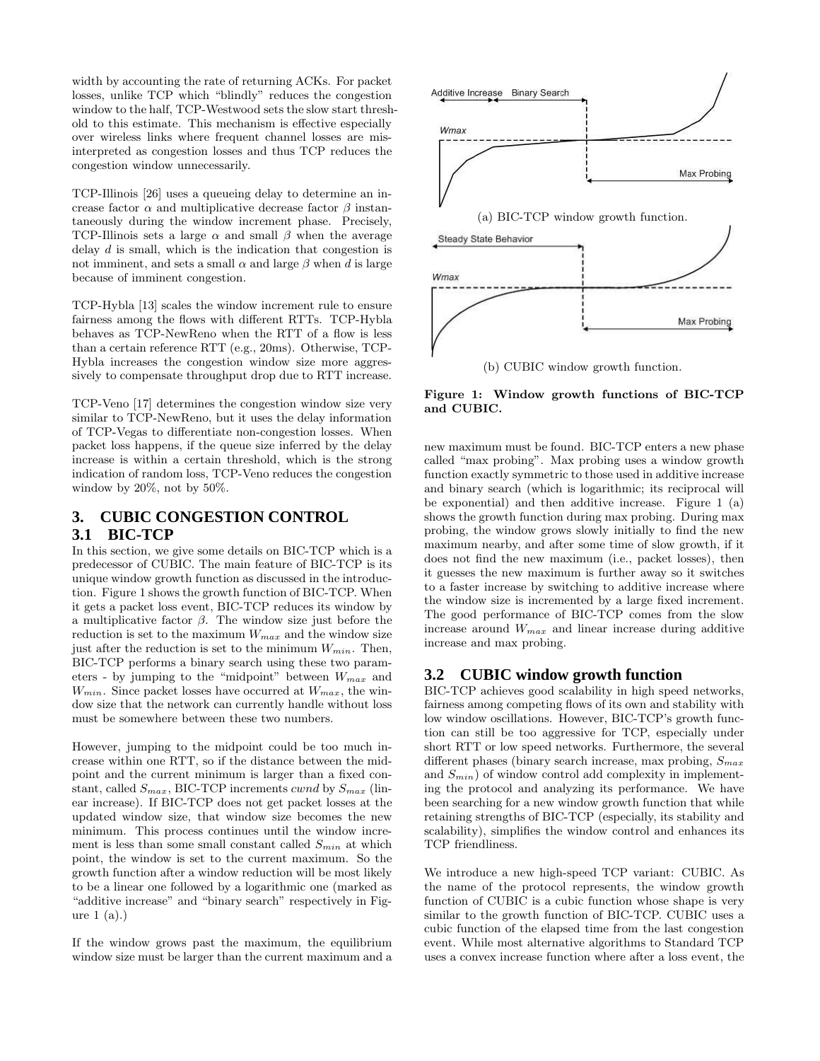width by accounting the rate of returning ACKs. For packet losses, unlike TCP which "blindly" reduces the congestion window to the half, TCP-Westwood sets the slow start threshold to this estimate. This mechanism is effective especially over wireless links where frequent channel losses are misinterpreted as congestion losses and thus TCP reduces the congestion window unnecessarily.

TCP-Illinois [26] uses a queueing delay to determine an increase factor  $\alpha$  and multiplicative decrease factor  $\beta$  instantaneously during the window increment phase. Precisely, TCP-Illinois sets a large  $\alpha$  and small  $\beta$  when the average delay d is small, which is the indication that congestion is not imminent, and sets a small  $\alpha$  and large  $\beta$  when d is large because of imminent congestion.

TCP-Hybla [13] scales the window increment rule to ensure fairness among the flows with different RTTs. TCP-Hybla behaves as TCP-NewReno when the RTT of a flow is less than a certain reference RTT (e.g., 20ms). Otherwise, TCP-Hybla increases the congestion window size more aggressively to compensate throughput drop due to RTT increase.

TCP-Veno [17] determines the congestion window size very similar to TCP-NewReno, but it uses the delay information of TCP-Vegas to differentiate non-congestion losses. When packet loss happens, if the queue size inferred by the delay increase is within a certain threshold, which is the strong indication of random loss, TCP-Veno reduces the congestion window by 20%, not by 50%.

# **3. CUBIC CONGESTION CONTROL 3.1 BIC-TCP**

In this section, we give some details on BIC-TCP which is a predecessor of CUBIC. The main feature of BIC-TCP is its unique window growth function as discussed in the introduction. Figure 1 shows the growth function of BIC-TCP. When it gets a packet loss event, BIC-TCP reduces its window by a multiplicative factor β. The window size just before the reduction is set to the maximum  $W_{max}$  and the window size just after the reduction is set to the minimum  $W_{min}$ . Then, BIC-TCP performs a binary search using these two parameters - by jumping to the "midpoint" between  $W_{max}$  and  $W_{min}$ . Since packet losses have occurred at  $W_{max}$ , the window size that the network can currently handle without loss must be somewhere between these two numbers.

However, jumping to the midpoint could be too much increase within one RTT, so if the distance between the midpoint and the current minimum is larger than a fixed constant, called  $S_{max}$ , BIC-TCP increments *cwnd* by  $S_{max}$  (linear increase). If BIC-TCP does not get packet losses at the updated window size, that window size becomes the new minimum. This process continues until the window increment is less than some small constant called  $S_{min}$  at which point, the window is set to the current maximum. So the growth function after a window reduction will be most likely to be a linear one followed by a logarithmic one (marked as "additive increase" and "binary search" respectively in Figure 1 (a).)

If the window grows past the maximum, the equilibrium window size must be larger than the current maximum and a



Figure 1: Window growth functions of BIC-TCP and CUBIC.

new maximum must be found. BIC-TCP enters a new phase called "max probing". Max probing uses a window growth function exactly symmetric to those used in additive increase and binary search (which is logarithmic; its reciprocal will be exponential) and then additive increase. Figure 1 (a) shows the growth function during max probing. During max probing, the window grows slowly initially to find the new maximum nearby, and after some time of slow growth, if it does not find the new maximum (i.e., packet losses), then it guesses the new maximum is further away so it switches to a faster increase by switching to additive increase where the window size is incremented by a large fixed increment. The good performance of BIC-TCP comes from the slow increase around  $W_{max}$  and linear increase during additive increase and max probing.

## **3.2 CUBIC window growth function**

BIC-TCP achieves good scalability in high speed networks, fairness among competing flows of its own and stability with low window oscillations. However, BIC-TCP's growth function can still be too aggressive for TCP, especially under short RTT or low speed networks. Furthermore, the several different phases (binary search increase, max probing,  $S_{max}$ and  $S_{min}$ ) of window control add complexity in implementing the protocol and analyzing its performance. We have been searching for a new window growth function that while retaining strengths of BIC-TCP (especially, its stability and scalability), simplifies the window control and enhances its TCP friendliness.

We introduce a new high-speed TCP variant: CUBIC. As the name of the protocol represents, the window growth function of CUBIC is a cubic function whose shape is very similar to the growth function of BIC-TCP. CUBIC uses a cubic function of the elapsed time from the last congestion event. While most alternative algorithms to Standard TCP uses a convex increase function where after a loss event, the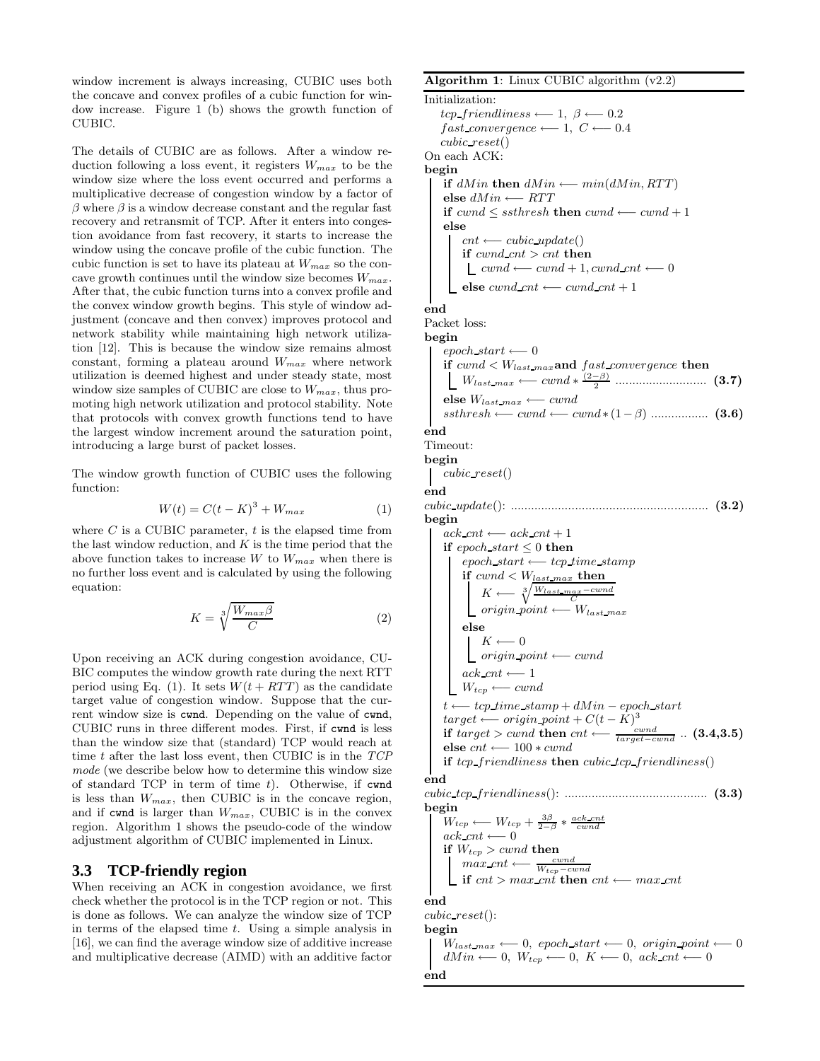window increment is always increasing, CUBIC uses both the concave and convex profiles of a cubic function for window increase. Figure 1 (b) shows the growth function of CUBIC.

The details of CUBIC are as follows. After a window reduction following a loss event, it registers  $W_{max}$  to be the window size where the loss event occurred and performs a multiplicative decrease of congestion window by a factor of  $\beta$  where  $\beta$  is a window decrease constant and the regular fast recovery and retransmit of TCP. After it enters into congestion avoidance from fast recovery, it starts to increase the window using the concave profile of the cubic function. The cubic function is set to have its plateau at  $W_{max}$  so the concave growth continues until the window size becomes  $W_{max}$ . After that, the cubic function turns into a convex profile and the convex window growth begins. This style of window adjustment (concave and then convex) improves protocol and network stability while maintaining high network utilization [12]. This is because the window size remains almost constant, forming a plateau around  $W_{max}$  where network utilization is deemed highest and under steady state, most window size samples of CUBIC are close to  $W_{max}$ , thus promoting high network utilization and protocol stability. Note that protocols with convex growth functions tend to have the largest window increment around the saturation point, introducing a large burst of packet losses.

The window growth function of CUBIC uses the following function:

$$
W(t) = C(t - K)^3 + W_{max} \tag{1}
$$

where  $C$  is a CUBIC parameter,  $t$  is the elapsed time from the last window reduction, and  $K$  is the time period that the above function takes to increase W to  $W_{max}$  when there is no further loss event and is calculated by using the following equation:

$$
K = \sqrt[3]{\frac{W_{max}\beta}{C}} \tag{2}
$$

Upon receiving an ACK during congestion avoidance, CU-BIC computes the window growth rate during the next RTT period using Eq. (1). It sets  $W(t + RTT)$  as the candidate target value of congestion window. Suppose that the current window size is cwnd. Depending on the value of cwnd, CUBIC runs in three different modes. First, if cwnd is less than the window size that (standard) TCP would reach at time  $t$  after the last loss event, then CUBIC is in the  $TCP$ mode (we describe below how to determine this window size of standard TCP in term of time  $t$ ). Otherwise, if cwnd is less than  $W_{max}$ , then CUBIC is in the concave region, and if cwnd is larger than  $W_{max}$ , CUBIC is in the convex region. Algorithm 1 shows the pseudo-code of the window adjustment algorithm of CUBIC implemented in Linux.

#### **3.3 TCP-friendly region**

When receiving an ACK in congestion avoidance, we first check whether the protocol is in the TCP region or not. This is done as follows. We can analyze the window size of TCP in terms of the elapsed time  $t$ . Using a simple analysis in [16], we can find the average window size of additive increase and multiplicative decrease (AIMD) with an additive factor

end

Algorithm 1: Linux CUBIC algorithm  $(v2.2)$ Initialization:  $tcp\_friendlines \leftarrow 1, \ \beta \leftarrow 0.2$  $fast\_convergence \longleftarrow 1, C \longleftarrow 0.4$ cubic reset() On each ACK: begin **if**  $dMin$  **then**  $dMin$  ←−  $min(dMin, RTT)$ else  $dMin \longleftarrow RTT$ **if**  $cwnd \leq ssthresh$  **then**  $cwnd \leftarrow cwnd + 1$ else  $cnt \longleftarrow cubic\_update()$ if  $cwnd\_cnt > cnt$  then  $\_\_cwnd \longleftarrow cwnd + 1, cwnd\_cnt \longleftarrow 0$ else cwnd cnt ←− cwnd cnt + 1 end Packet loss: begin  $epoch\_start \longleftarrow 0$ if  $cwnd < W_{last\_max}$  and  $fast\_convergence$  then  $W_{last\_max} \longleftarrow cwnd * \frac{(2-\beta)}{2} \dots \dots \dots \dots \dots \dots \dots \tag{3.7}$ else  $W_{last\_max} \longleftarrow$  cwnd ssthresh ←− cwnd ←− cwnd ∗ (1−β) ................. (3.6) end Timeout: begin cubic reset() end cubic update(): .......................................................... (3.2) begin  $ack\_cnt \longleftarrow ack\_cnt + 1$ if epoch\_start  $\leq 0$  then  $epoch\_start \longleftarrow top\_time\_stamp$  $\mathbf{if}~\mathit{cwnd} < W_{\mathit{last}~\mathit{max}}~\mathbf{then}$  $K \longleftarrow \sqrt[3]{\frac{W_{last\_max} - cwnd}{C}}$  $\frac{1}{\sqrt{1-\frac{1}{2}}\text{arcsin} + \frac{1}{\sqrt{1-\frac{1}{2}}}}$  origin point ← W<sub>last\_max</sub> else  $K \longleftarrow 0$ origin point ←− cwnd  $ack\_cnt \longleftarrow 1$  $W_{tcp} \longleftarrow$  cwnd  $t \longleftarrow tcp\_time\_stamp + dMin - epoch\_start$  $target \longleftarrow origin\_point + C(t - K)^3$ if  $target > cwnd$  then  $cnt \longleftarrow \frac{cwnd}{target - cwnd}$ ..  $(3.4,3.5)$ else $cnt \longleftarrow 100 * cwnd$ if  $tcp\_friendlines$  then cubic tcp friendliness() end cubic tcp friendliness(): .......................................... (3.3) begin  $W_{tcp} \longleftarrow W_{tcp} + \frac{3\beta}{2-\beta} * \frac{ack\_cnt}{cwnd}$  $ack\_cnt \longleftarrow 0$ if  $W_{tcp} > cwnd$  then  $max\_cnt \longleftarrow \frac{cwnd}{W_{tcp}-cwnd}$  $\bot$  if cnt > max\_cnt then cnt ← max\_cnt end cubic reset(): begin  $W_{last\_max} \longleftarrow 0$ , epoch\_start  $\longleftarrow 0$ , origin\_point  $\longleftarrow 0$  $dMin \longleftarrow 0, W_{top} \longleftarrow 0, K \longleftarrow 0, \text{ack\_cnt} \longleftarrow 0$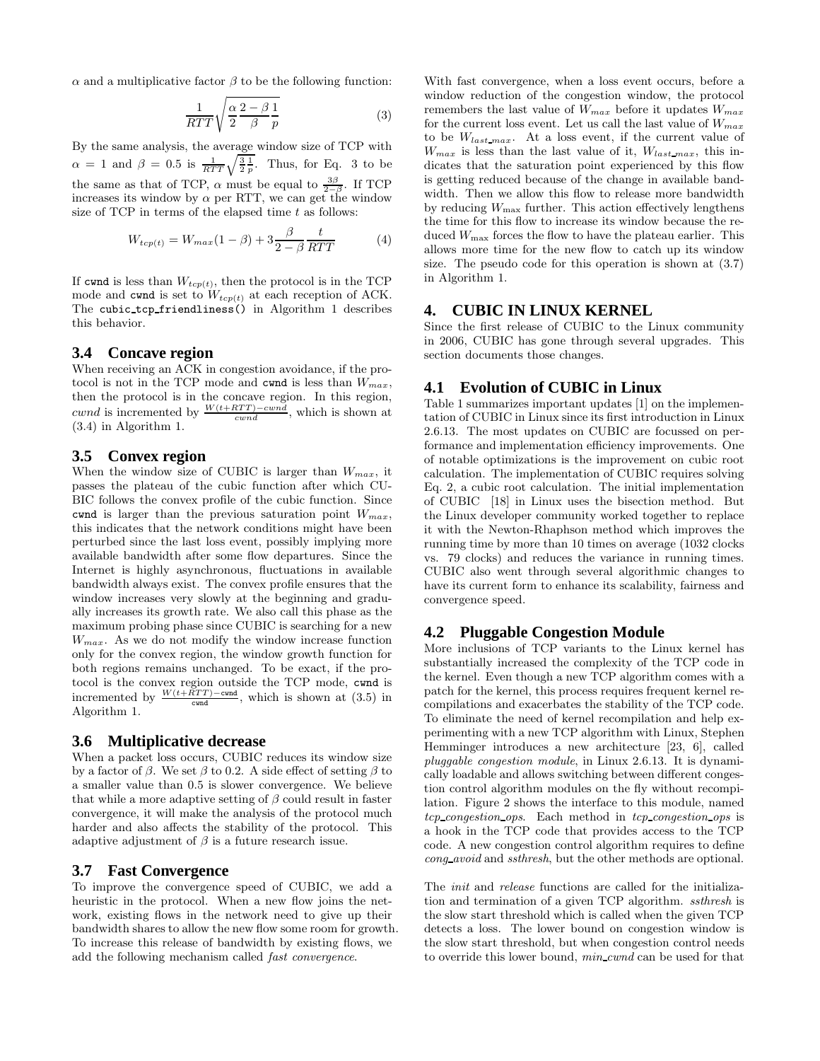α and a multiplicative factor β to be the following function:

$$
\frac{1}{RTT}\sqrt{\frac{\alpha}{2}\frac{2-\beta}{\beta}\frac{1}{p}}\tag{3}
$$

By the same analysis, the average window size of TCP with  $\alpha = 1$  and  $\beta = 0.5$  is  $\frac{1}{RTT}\sqrt{\frac{3}{2}\frac{1}{p}}$ . Thus, for Eq. 3 to be the same as that of TCP,  $\alpha$  must be equal to  $\frac{3\beta}{2-\beta}$ . If TCP increases its window by  $\alpha$  per RTT, we can get the window size of TCP in terms of the elapsed time  $t$  as follows:

$$
W_{tcp(t)} = W_{max}(1-\beta) + 3\frac{\beta}{2-\beta}\frac{t}{RTT}
$$
(4)

If cwnd is less than  $W_{tcp(t)}$ , then the protocol is in the TCP mode and cwnd is set to  $W_{tcp(t)}$  at each reception of ACK. The cubic tcp friendliness() in Algorithm 1 describes this behavior.

#### **3.4 Concave region**

When receiving an ACK in congestion avoidance, if the protocol is not in the TCP mode and cwnd is less than  $W_{max}$ , then the protocol is in the concave region. In this region, cwnd is incremented by  $\frac{W(t+RTT)-cwnd}{cwnd}$ , which is shown at (3.4) in Algorithm 1.

#### **3.5 Convex region**

When the window size of CUBIC is larger than  $W_{max}$ , it passes the plateau of the cubic function after which CU-BIC follows the convex profile of the cubic function. Since cwnd is larger than the previous saturation point  $W_{max}$ , this indicates that the network conditions might have been perturbed since the last loss event, possibly implying more available bandwidth after some flow departures. Since the Internet is highly asynchronous, fluctuations in available bandwidth always exist. The convex profile ensures that the window increases very slowly at the beginning and gradually increases its growth rate. We also call this phase as the maximum probing phase since CUBIC is searching for a new  $W_{max}$ . As we do not modify the window increase function only for the convex region, the window growth function for both regions remains unchanged. To be exact, if the protocol is the convex region outside the TCP mode, cwnd is incremented by  $\frac{W(t+RTT) - \text{cwnd}}{\text{cwnd}}$ , which is shown at (3.5) in Algorithm 1.

#### **3.6 Multiplicative decrease**

When a packet loss occurs, CUBIC reduces its window size by a factor of  $\beta$ . We set  $\beta$  to 0.2. A side effect of setting  $\beta$  to a smaller value than 0.5 is slower convergence. We believe that while a more adaptive setting of  $\beta$  could result in faster convergence, it will make the analysis of the protocol much harder and also affects the stability of the protocol. This adaptive adjustment of  $\beta$  is a future research issue.

#### **3.7 Fast Convergence**

To improve the convergence speed of CUBIC, we add a heuristic in the protocol. When a new flow joins the network, existing flows in the network need to give up their bandwidth shares to allow the new flow some room for growth. To increase this release of bandwidth by existing flows, we add the following mechanism called fast convergence.

With fast convergence, when a loss event occurs, before a window reduction of the congestion window, the protocol remembers the last value of  $W_{max}$  before it updates  $W_{max}$ for the current loss event. Let us call the last value of  $W_{max}$ to be  $W_{last\_max}$ . At a loss event, if the current value of  $W_{max}$  is less than the last value of it,  $W_{last,max}$ , this indicates that the saturation point experienced by this flow is getting reduced because of the change in available bandwidth. Then we allow this flow to release more bandwidth by reducing  $W_{\text{max}}$  further. This action effectively lengthens the time for this flow to increase its window because the reduced  $W_{\text{max}}$  forces the flow to have the plateau earlier. This allows more time for the new flow to catch up its window size. The pseudo code for this operation is shown at (3.7) in Algorithm 1.

#### **4. CUBIC IN LINUX KERNEL**

Since the first release of CUBIC to the Linux community in 2006, CUBIC has gone through several upgrades. This section documents those changes.

#### **4.1 Evolution of CUBIC in Linux**

Table 1 summarizes important updates [1] on the implementation of CUBIC in Linux since its first introduction in Linux 2.6.13. The most updates on CUBIC are focussed on performance and implementation efficiency improvements. One of notable optimizations is the improvement on cubic root calculation. The implementation of CUBIC requires solving Eq. 2, a cubic root calculation. The initial implementation of CUBIC [18] in Linux uses the bisection method. But the Linux developer community worked together to replace it with the Newton-Rhaphson method which improves the running time by more than 10 times on average (1032 clocks vs. 79 clocks) and reduces the variance in running times. CUBIC also went through several algorithmic changes to have its current form to enhance its scalability, fairness and convergence speed.

### **4.2 Pluggable Congestion Module**

More inclusions of TCP variants to the Linux kernel has substantially increased the complexity of the TCP code in the kernel. Even though a new TCP algorithm comes with a patch for the kernel, this process requires frequent kernel recompilations and exacerbates the stability of the TCP code. To eliminate the need of kernel recompilation and help experimenting with a new TCP algorithm with Linux, Stephen Hemminger introduces a new architecture [23, 6], called pluggable congestion module, in Linux 2.6.13. It is dynamically loadable and allows switching between different congestion control algorithm modules on the fly without recompilation. Figure 2 shows the interface to this module, named  $tcp\text{-}congestion\text{-}ops.$  Each method in  $tcp\text{-}congestion\text{-}ops$  is a hook in the TCP code that provides access to the TCP code. A new congestion control algorithm requires to define cong avoid and ssthresh, but the other methods are optional.

The *init* and *release* functions are called for the initialization and termination of a given TCP algorithm. ssthresh is the slow start threshold which is called when the given TCP detects a loss. The lower bound on congestion window is the slow start threshold, but when congestion control needs to override this lower bound, min cwnd can be used for that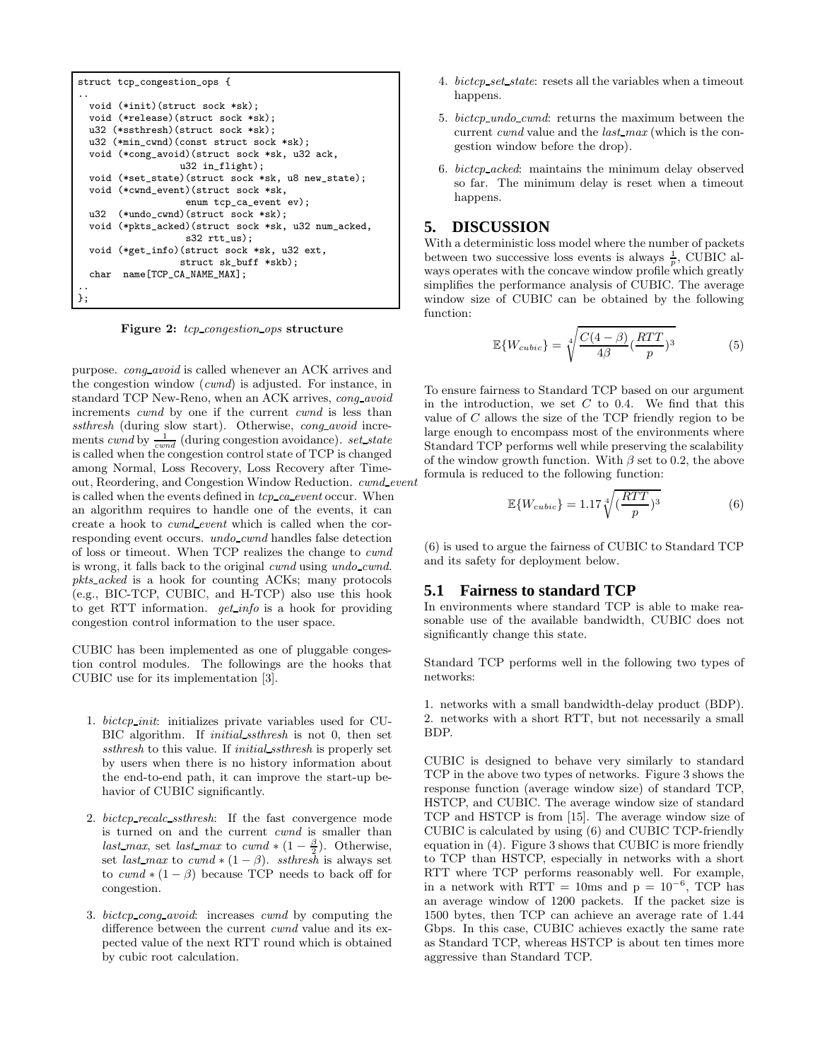```
struct tcp_congestion_ops {
..
 void (*init)(struct sock *sk);
 void (*release)(struct sock *sk);
 u32 (*ssthresh)(struct sock *sk);
 u32 (*min_cwnd)(const_struct_sock *sk);
 void (*cong_avoid)(struct sock *sk, u32 ack,
                  u32 in_flight);
 void (*set_state)(struct sock *sk, u8 new_state);
 void (*cwnd_event)(struct sock *sk,
                   enum tcp_ca_event ev);
 u32 (*undo_cwnd)(struct sock *sk);
 void (*pkts_acked)(struct sock *sk, u32 num_acked,
                   s32 rtt us):
 void (*get_info)(struct sock *sk, u32 ext,
                  struct sk_buff *skb);
 char name[TCP_CA_NAME_MAX];
..
};
```
Figure 2: tcp\_congestion\_ops structure

purpose. cong avoid is called whenever an ACK arrives and the congestion window (cwnd) is adjusted. For instance, in standard TCP New-Reno, when an ACK arrives, cong avoid increments *cwnd* by one if the current *cwnd* is less than ssthresh (during slow start). Otherwise, cong avoid increments cwnd by  $\frac{1}{cwnd}$  (during congestion avoidance). set state is called when the congestion control state of TCP is changed among Normal, Loss Recovery, Loss Recovery after Timeout, Reordering, and Congestion Window Reduction. cwnd\_event is called when the events defined in  $tcp\_ca\_event$  occur. When an algorithm requires to handle one of the events, it can create a hook to cwnd event which is called when the corresponding event occurs. undo cwnd handles false detection of loss or timeout. When TCP realizes the change to cwnd is wrong, it falls back to the original cwnd using undo cwnd. pkts acked is a hook for counting ACKs; many protocols (e.g., BIC-TCP, CUBIC, and H-TCP) also use this hook to get RTT information. get info is a hook for providing congestion control information to the user space.

CUBIC has been implemented as one of pluggable congestion control modules. The followings are the hooks that CUBIC use for its implementation [3].

- 1. bictcp init: initializes private variables used for CU-BIC algorithm. If initial ssthresh is not 0, then set ssthresh to this value. If *initial\_ssthresh* is properly set by users when there is no history information about the end-to-end path, it can improve the start-up behavior of CUBIC significantly.
- 2. bictcp recalc ssthresh: If the fast convergence mode is turned on and the current cwnd is smaller than last\_max, set last\_max to cwnd \*  $(1 - \frac{\beta}{2})$ . Otherwise, set *last\_max* to *cwnd*  $*(1 - \beta)$ . *ssthresh* is always set to  $cwnd * (1 - \beta)$  because TCP needs to back off for congestion.
- 3. bictcp cong avoid: increases cwnd by computing the difference between the current cwnd value and its expected value of the next RTT round which is obtained by cubic root calculation.
- 4. bictcp\_set\_state: resets all the variables when a timeout happens.
- 5. bictcp undo cwnd: returns the maximum between the current cwnd value and the last max (which is the congestion window before the drop).
- 6. bictcp acked: maintains the minimum delay observed so far. The minimum delay is reset when a timeout happens.

#### **5. DISCUSSION**

With a deterministic loss model where the number of packets between two successive loss events is always  $\frac{1}{p}$ , CUBIC always operates with the concave window profile which greatly simplifies the performance analysis of CUBIC. The average window size of CUBIC can be obtained by the following function:

$$
\mathbb{E}\{W_{cubic}\} = \sqrt[4]{\frac{C(4-\beta)}{4\beta} (\frac{RTT}{p})^3}
$$
(5)

To ensure fairness to Standard TCP based on our argument in the introduction, we set  $C$  to 0.4. We find that this value of C allows the size of the TCP friendly region to be large enough to encompass most of the environments where Standard TCP performs well while preserving the scalability of the window growth function. With  $\beta$  set to 0.2, the above formula is reduced to the following function:

$$
\mathbb{E}\{W_{cubic}\} = 1.17 \sqrt[4]{\left(\frac{RTT}{p}\right)^3} \tag{6}
$$

(6) is used to argue the fairness of CUBIC to Standard TCP and its safety for deployment below.

#### **5.1 Fairness to standard TCP**

In environments where standard TCP is able to make reasonable use of the available bandwidth, CUBIC does not significantly change this state.

Standard TCP performs well in the following two types of networks:

1. networks with a small bandwidth-delay product (BDP). 2. networks with a short RTT, but not necessarily a small BDP.

CUBIC is designed to behave very similarly to standard TCP in the above two types of networks. Figure 3 shows the response function (average window size) of standard TCP, HSTCP, and CUBIC. The average window size of standard TCP and HSTCP is from [15]. The average window size of CUBIC is calculated by using (6) and CUBIC TCP-friendly equation in (4). Figure 3 shows that CUBIC is more friendly to TCP than HSTCP, especially in networks with a short RTT where TCP performs reasonably well. For example, in a network with  $RTT = 10$ ms and  $p = 10^{-6}$ , TCP has an average window of 1200 packets. If the packet size is 1500 bytes, then TCP can achieve an average rate of 1.44 Gbps. In this case, CUBIC achieves exactly the same rate as Standard TCP, whereas HSTCP is about ten times more aggressive than Standard TCP.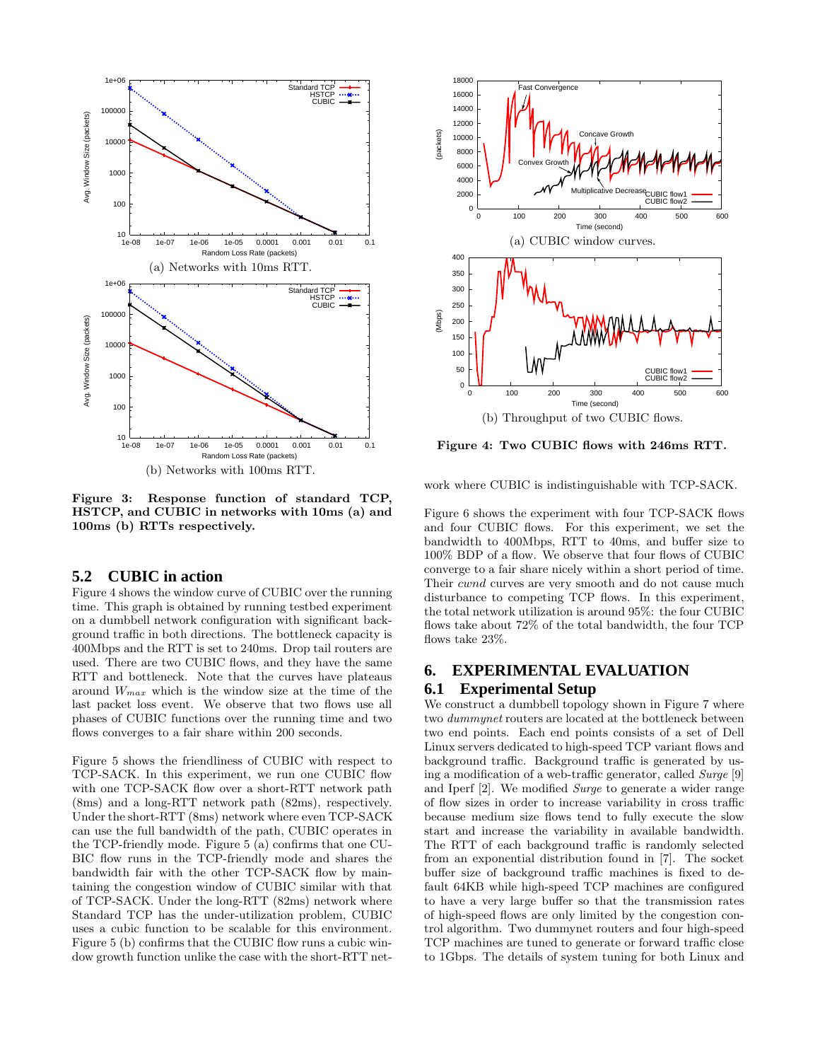

Figure 3: Response function of standard TCP, HSTCP, and CUBIC in networks with 10ms (a) and 100ms (b) RTTs respectively.

## **5.2 CUBIC in action**

Figure 4 shows the window curve of CUBIC over the running time. This graph is obtained by running testbed experiment on a dumbbell network configuration with significant background traffic in both directions. The bottleneck capacity is 400Mbps and the RTT is set to 240ms. Drop tail routers are used. There are two CUBIC flows, and they have the same RTT and bottleneck. Note that the curves have plateaus around  $W_{max}$  which is the window size at the time of the last packet loss event. We observe that two flows use all phases of CUBIC functions over the running time and two flows converges to a fair share within 200 seconds.

Figure 5 shows the friendliness of CUBIC with respect to TCP-SACK. In this experiment, we run one CUBIC flow with one TCP-SACK flow over a short-RTT network path (8ms) and a long-RTT network path (82ms), respectively. Under the short-RTT (8ms) network where even TCP-SACK can use the full bandwidth of the path, CUBIC operates in the TCP-friendly mode. Figure 5 (a) confirms that one CU-BIC flow runs in the TCP-friendly mode and shares the bandwidth fair with the other TCP-SACK flow by maintaining the congestion window of CUBIC similar with that of TCP-SACK. Under the long-RTT (82ms) network where Standard TCP has the under-utilization problem, CUBIC uses a cubic function to be scalable for this environment. Figure 5 (b) confirms that the CUBIC flow runs a cubic window growth function unlike the case with the short-RTT net-



Figure 4: Two CUBIC flows with 246ms RTT.

work where CUBIC is indistinguishable with TCP-SACK.

Figure 6 shows the experiment with four TCP-SACK flows and four CUBIC flows. For this experiment, we set the bandwidth to 400Mbps, RTT to 40ms, and buffer size to 100% BDP of a flow. We observe that four flows of CUBIC converge to a fair share nicely within a short period of time. Their cwnd curves are very smooth and do not cause much disturbance to competing TCP flows. In this experiment, the total network utilization is around 95%: the four CUBIC flows take about 72% of the total bandwidth, the four TCP flows take 23%.

# **6. EXPERIMENTAL EVALUATION 6.1 Experimental Setup**

We construct a dumbbell topology shown in Figure 7 where two dummynet routers are located at the bottleneck between two end points. Each end points consists of a set of Dell Linux servers dedicated to high-speed TCP variant flows and background traffic. Background traffic is generated by using a modification of a web-traffic generator, called Surge [9] and Iperf [2]. We modified Surge to generate a wider range of flow sizes in order to increase variability in cross traffic because medium size flows tend to fully execute the slow start and increase the variability in available bandwidth. The RTT of each background traffic is randomly selected from an exponential distribution found in [7]. The socket buffer size of background traffic machines is fixed to default 64KB while high-speed TCP machines are configured to have a very large buffer so that the transmission rates of high-speed flows are only limited by the congestion control algorithm. Two dummynet routers and four high-speed TCP machines are tuned to generate or forward traffic close to 1Gbps. The details of system tuning for both Linux and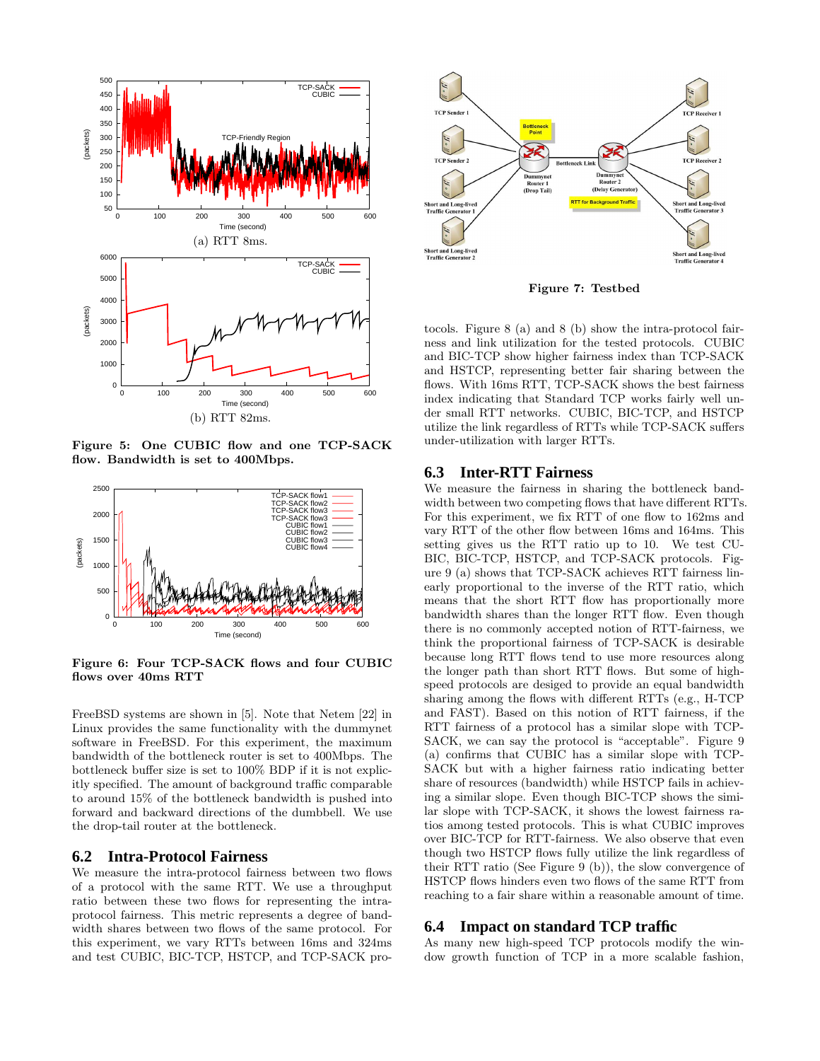

Figure 5: One CUBIC flow and one TCP-SACK flow. Bandwidth is set to 400Mbps.



Figure 6: Four TCP-SACK flows and four CUBIC flows over 40ms RTT

FreeBSD systems are shown in [5]. Note that Netem [22] in Linux provides the same functionality with the dummynet software in FreeBSD. For this experiment, the maximum bandwidth of the bottleneck router is set to 400Mbps. The bottleneck buffer size is set to 100% BDP if it is not explicitly specified. The amount of background traffic comparable to around 15% of the bottleneck bandwidth is pushed into forward and backward directions of the dumbbell. We use the drop-tail router at the bottleneck.

#### **6.2 Intra-Protocol Fairness**

We measure the intra-protocol fairness between two flows of a protocol with the same RTT. We use a throughput ratio between these two flows for representing the intraprotocol fairness. This metric represents a degree of bandwidth shares between two flows of the same protocol. For this experiment, we vary RTTs between 16ms and 324ms and test CUBIC, BIC-TCP, HSTCP, and TCP-SACK pro-



Figure 7: Testbed

tocols. Figure 8 (a) and 8 (b) show the intra-protocol fairness and link utilization for the tested protocols. CUBIC and BIC-TCP show higher fairness index than TCP-SACK and HSTCP, representing better fair sharing between the flows. With 16ms RTT, TCP-SACK shows the best fairness index indicating that Standard TCP works fairly well under small RTT networks. CUBIC, BIC-TCP, and HSTCP utilize the link regardless of RTTs while TCP-SACK suffers under-utilization with larger RTTs.

#### **6.3 Inter-RTT Fairness**

We measure the fairness in sharing the bottleneck bandwidth between two competing flows that have different RTTs. For this experiment, we fix RTT of one flow to 162ms and vary RTT of the other flow between 16ms and 164ms. This setting gives us the RTT ratio up to 10. We test CU-BIC, BIC-TCP, HSTCP, and TCP-SACK protocols. Figure 9 (a) shows that TCP-SACK achieves RTT fairness linearly proportional to the inverse of the RTT ratio, which means that the short RTT flow has proportionally more bandwidth shares than the longer RTT flow. Even though there is no commonly accepted notion of RTT-fairness, we think the proportional fairness of TCP-SACK is desirable because long RTT flows tend to use more resources along the longer path than short RTT flows. But some of highspeed protocols are desiged to provide an equal bandwidth sharing among the flows with different RTTs (e.g., H-TCP and FAST). Based on this notion of RTT fairness, if the RTT fairness of a protocol has a similar slope with TCP-SACK, we can say the protocol is "acceptable". Figure 9 (a) confirms that CUBIC has a similar slope with TCP-SACK but with a higher fairness ratio indicating better share of resources (bandwidth) while HSTCP fails in achieving a similar slope. Even though BIC-TCP shows the similar slope with TCP-SACK, it shows the lowest fairness ratios among tested protocols. This is what CUBIC improves over BIC-TCP for RTT-fairness. We also observe that even though two HSTCP flows fully utilize the link regardless of their RTT ratio (See Figure 9 (b)), the slow convergence of HSTCP flows hinders even two flows of the same RTT from reaching to a fair share within a reasonable amount of time.

#### **6.4 Impact on standard TCP traffic**

As many new high-speed TCP protocols modify the window growth function of TCP in a more scalable fashion,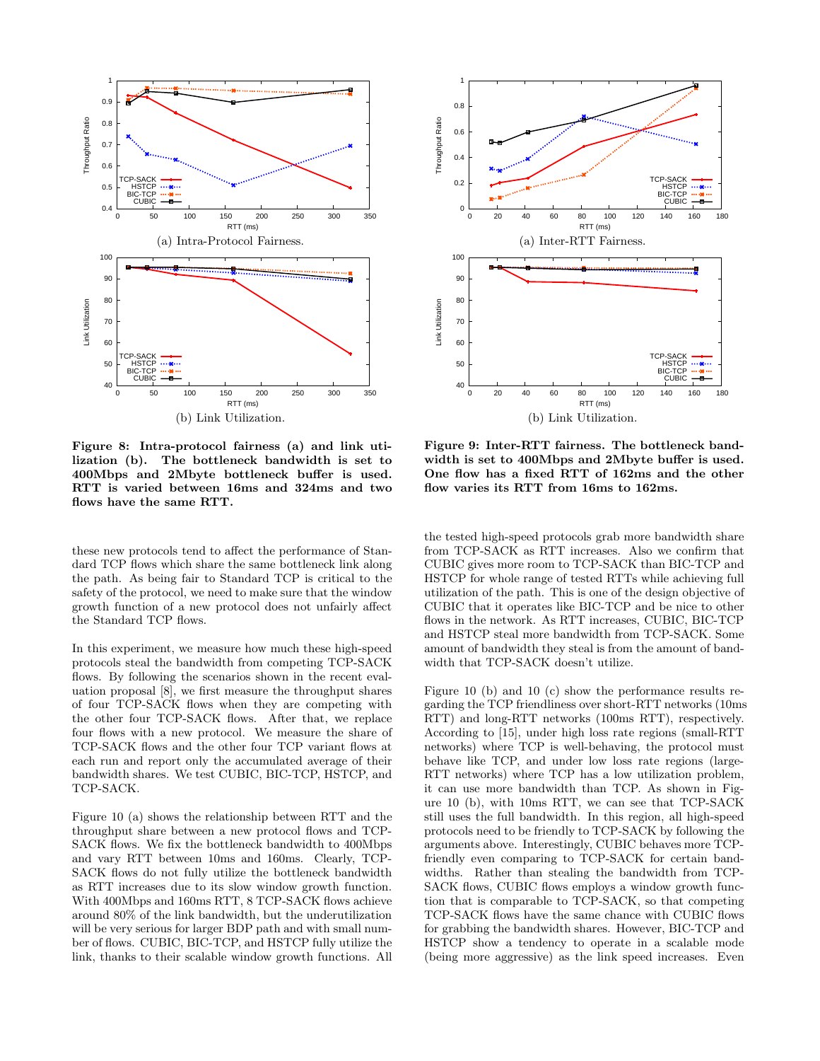

Figure 8: Intra-protocol fairness (a) and link utilization (b). The bottleneck bandwidth is set to 400Mbps and 2Mbyte bottleneck buffer is used. RTT is varied between 16ms and 324ms and two flows have the same RTT.

these new protocols tend to affect the performance of Standard TCP flows which share the same bottleneck link along the path. As being fair to Standard TCP is critical to the safety of the protocol, we need to make sure that the window growth function of a new protocol does not unfairly affect the Standard TCP flows.

In this experiment, we measure how much these high-speed protocols steal the bandwidth from competing TCP-SACK flows. By following the scenarios shown in the recent evaluation proposal [8], we first measure the throughput shares of four TCP-SACK flows when they are competing with the other four TCP-SACK flows. After that, we replace four flows with a new protocol. We measure the share of TCP-SACK flows and the other four TCP variant flows at each run and report only the accumulated average of their bandwidth shares. We test CUBIC, BIC-TCP, HSTCP, and TCP-SACK.

Figure 10 (a) shows the relationship between RTT and the throughput share between a new protocol flows and TCP-SACK flows. We fix the bottleneck bandwidth to 400Mbps and vary RTT between 10ms and 160ms. Clearly, TCP-SACK flows do not fully utilize the bottleneck bandwidth as RTT increases due to its slow window growth function. With 400Mbps and 160ms RTT, 8 TCP-SACK flows achieve around 80% of the link bandwidth, but the underutilization will be very serious for larger BDP path and with small number of flows. CUBIC, BIC-TCP, and HSTCP fully utilize the link, thanks to their scalable window growth functions. All



Figure 9: Inter-RTT fairness. The bottleneck bandwidth is set to 400Mbps and 2Mbyte buffer is used. One flow has a fixed RTT of 162ms and the other flow varies its RTT from 16ms to 162ms.

the tested high-speed protocols grab more bandwidth share from TCP-SACK as RTT increases. Also we confirm that CUBIC gives more room to TCP-SACK than BIC-TCP and HSTCP for whole range of tested RTTs while achieving full utilization of the path. This is one of the design objective of CUBIC that it operates like BIC-TCP and be nice to other flows in the network. As RTT increases, CUBIC, BIC-TCP and HSTCP steal more bandwidth from TCP-SACK. Some amount of bandwidth they steal is from the amount of bandwidth that TCP-SACK doesn't utilize.

Figure 10 (b) and 10 (c) show the performance results regarding the TCP friendliness over short-RTT networks (10ms RTT) and long-RTT networks (100ms RTT), respectively. According to [15], under high loss rate regions (small-RTT networks) where TCP is well-behaving, the protocol must behave like TCP, and under low loss rate regions (large-RTT networks) where TCP has a low utilization problem, it can use more bandwidth than TCP. As shown in Figure 10 (b), with 10ms RTT, we can see that TCP-SACK still uses the full bandwidth. In this region, all high-speed protocols need to be friendly to TCP-SACK by following the arguments above. Interestingly, CUBIC behaves more TCPfriendly even comparing to TCP-SACK for certain bandwidths. Rather than stealing the bandwidth from TCP-SACK flows, CUBIC flows employs a window growth function that is comparable to TCP-SACK, so that competing TCP-SACK flows have the same chance with CUBIC flows for grabbing the bandwidth shares. However, BIC-TCP and HSTCP show a tendency to operate in a scalable mode (being more aggressive) as the link speed increases. Even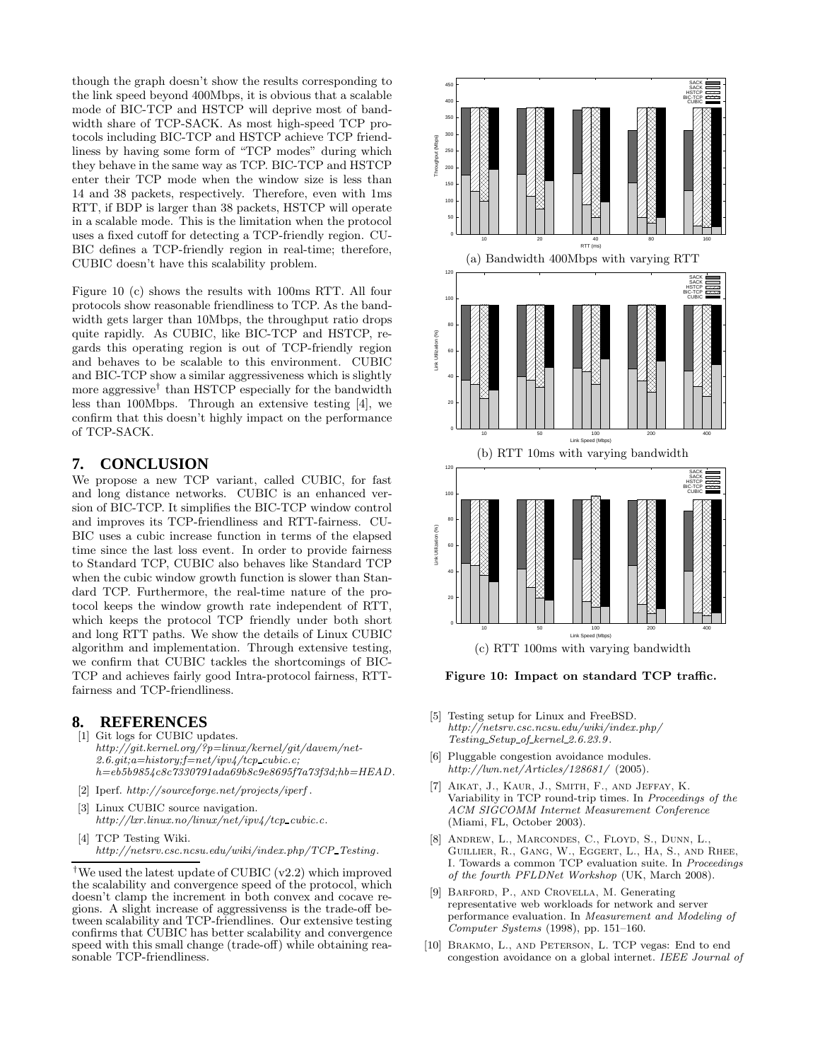though the graph doesn't show the results corresponding to the link speed beyond 400Mbps, it is obvious that a scalable mode of BIC-TCP and HSTCP will deprive most of bandwidth share of TCP-SACK. As most high-speed TCP protocols including BIC-TCP and HSTCP achieve TCP friendliness by having some form of "TCP modes" during which they behave in the same way as TCP. BIC-TCP and HSTCP enter their TCP mode when the window size is less than 14 and 38 packets, respectively. Therefore, even with 1ms RTT, if BDP is larger than 38 packets, HSTCP will operate in a scalable mode. This is the limitation when the protocol uses a fixed cutoff for detecting a TCP-friendly region. CU-BIC defines a TCP-friendly region in real-time; therefore, CUBIC doesn't have this scalability problem.

Figure 10 (c) shows the results with 100ms RTT. All four protocols show reasonable friendliness to TCP. As the bandwidth gets larger than 10Mbps, the throughput ratio drops quite rapidly. As CUBIC, like BIC-TCP and HSTCP, regards this operating region is out of TCP-friendly region and behaves to be scalable to this environment. CUBIC and BIC-TCP show a similar aggressiveness which is slightly more aggressive<sup>†</sup> than HSTCP especially for the bandwidth less than 100Mbps. Through an extensive testing [4], we confirm that this doesn't highly impact on the performance of TCP-SACK.

# **7. CONCLUSION**

We propose a new TCP variant, called CUBIC, for fast and long distance networks. CUBIC is an enhanced version of BIC-TCP. It simplifies the BIC-TCP window control and improves its TCP-friendliness and RTT-fairness. CU-BIC uses a cubic increase function in terms of the elapsed time since the last loss event. In order to provide fairness to Standard TCP, CUBIC also behaves like Standard TCP when the cubic window growth function is slower than Standard TCP. Furthermore, the real-time nature of the protocol keeps the window growth rate independent of RTT, which keeps the protocol TCP friendly under both short and long RTT paths. We show the details of Linux CUBIC algorithm and implementation. Through extensive testing, we confirm that CUBIC tackles the shortcomings of BIC-TCP and achieves fairly good Intra-protocol fairness, RTTfairness and TCP-friendliness.

# **8. REFERENCES**

- [1] Git logs for CUBIC updates. http://git.kernel.org/?p=linux/kernel/git/davem/net-2.6.git;a=history;f=net/ipv4/tcp cubic.c; h=eb5b9854c8c7330791ada69b8c9e8695f7a73f3d;hb=HEAD.
- [2] Iperf. http://sourceforge.net/projects/iperf .
- [3] Linux CUBIC source navigation. http://lxr.linux.no/linux/net/ipv4/tcp\_cubic.c.
- [4] TCP Testing Wiki. http://netsrv.csc.ncsu.edu/wiki/index.php/TCP\_Testing.



Figure 10: Impact on standard TCP traffic.

- [5] Testing setup for Linux and FreeBSD. http://netsrv.csc.ncsu.edu/wiki/index.php/ Testing Setup of kernel 2.6.23.9.
- [6] Pluggable congestion avoidance modules. http://lwn.net/Articles/128681/ (2005).
- [7] Aikat, J., Kaur, J., Smith, F., and Jeffay, K. Variability in TCP round-trip times. In Proceedings of the ACM SIGCOMM Internet Measurement Conference (Miami, FL, October 2003).
- [8] Andrew, L., Marcondes, C., Floyd, S., Dunn, L., Guillier, R., Gang, W., Eggert, L., Ha, S., and Rhee, I. Towards a common TCP evaluation suite. In Proceedings of the fourth PFLDNet Workshop (UK, March 2008).
- [9] Barford, P., and Crovella, M. Generating representative web workloads for network and server performance evaluation. In Measurement and Modeling of Computer Systems (1998), pp. 151–160.
- [10] BRAKMO, L., AND PETERSON, L. TCP vegas: End to end congestion avoidance on a global internet. IEEE Journal of

<sup>&</sup>lt;sup>†</sup>We used the latest update of CUBIC (v2.2) which improved the scalability and convergence speed of the protocol, which doesn't clamp the increment in both convex and cocave regions. A slight increase of aggressivenss is the trade-off between scalability and TCP-friendlines. Our extensive testing confirms that CUBIC has better scalability and convergence speed with this small change (trade-off) while obtaining reasonable TCP-friendliness.